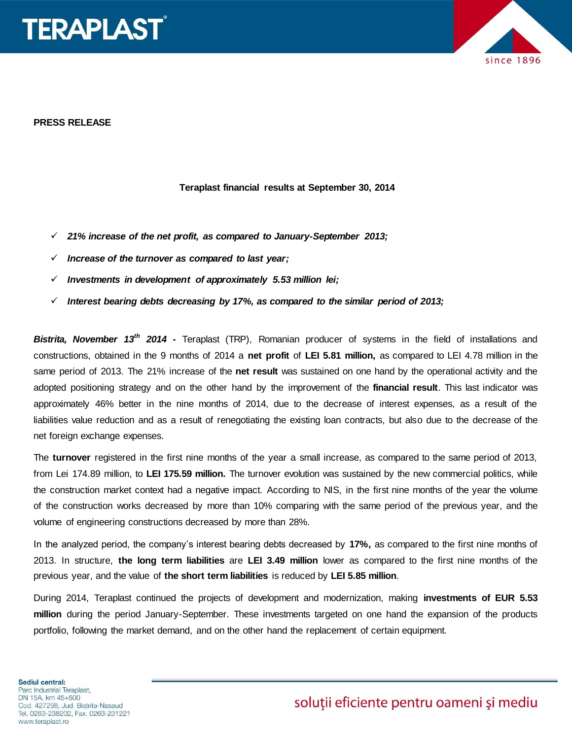



#### **PRESS RELEASE**

#### **Teraplast financial results at September 30, 2014**

- *21% increase of the net profit, as compared to January-September 2013;*
- *Increase of the turnover as compared to last year;*
- $\checkmark$  Investments in development of approximately 5.53 million lei;
- *Interest bearing debts decreasing by 17%, as compared to the similar period of 2013;*

*Bistrita, November 13th 2014 -* Teraplast (TRP), Romanian producer of systems in the field of installations and constructions, obtained in the 9 months of 2014 a **net profit** of **LEI 5.81 million,** as compared to LEI 4.78 million in the same period of 2013. The 21% increase of the **net result** was sustained on one hand by the operational activity and the adopted positioning strategy and on the other hand by the improvement of the **financial result**. This last indicator was approximately 46% better in the nine months of 2014, due to the decrease of interest expenses, as a result of the liabilities value reduction and as a result of renegotiating the existing loan contracts, but also due to the decrease of the net foreign exchange expenses.

The **turnover** registered in the first nine months of the year a small increase, as compared to the same period of 2013, from Lei 174.89 million, to **LEI 175.59 million.** The turnover evolution was sustained by the new commercial politics, while the construction market context had a negative impact. According to NIS, in the first nine months of the year the volume of the construction works decreased by more than 10% comparing with the same period of the previous year, and the volume of engineering constructions decreased by more than 28%.

In the analyzed period, the company's interest bearing debts decreased by **17%,** as compared to the first nine months of 2013. In structure, **the long term liabilities** are **LEI 3.49 million** lower as compared to the first nine months of the previous year, and the value of **the short term liabilities** is reduced by **LEI 5.85 million**.

During 2014, Teraplast continued the projects of development and modernization, making **investments of EUR 5.53 million** during the period January-September. These investments targeted on one hand the expansion of the products portfolio, following the market demand, and on the other hand the replacement of certain equipment.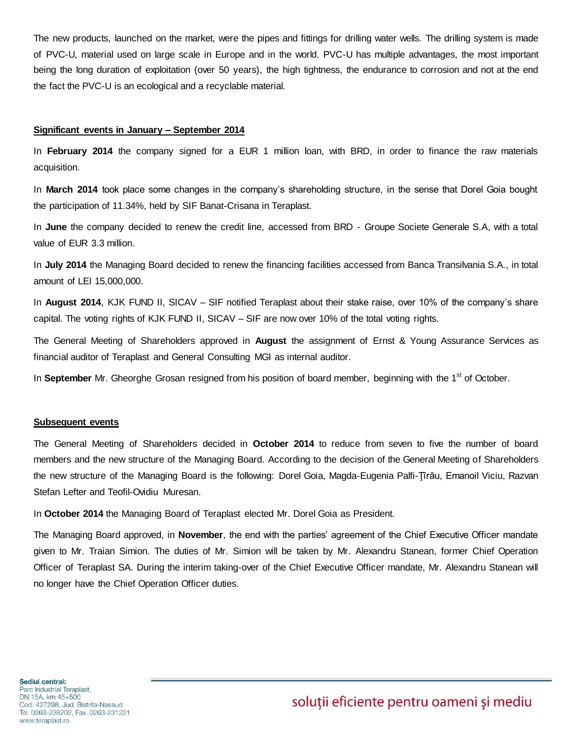The new products, launched on the market, were the pipes and fittings for drilling water wells. The drilling system is made of PVC-U, material used on large scale in Europe and in the world. PVC-U has multiple advantages, the most important being the long duration of exploitation (over 50 years), the high tightness, the endurance to corrosion and not at the end the fact the PVC-U is an ecological and a recyclable material.

#### **Significant events in January – September 2014**

In **February 2014** the company signed for a EUR 1 million loan, with BRD, in order to finance the raw materials acquisition.

In **March 2014** took place some changes in the company's shareholding structure, in the sense that Dorel Goia bought the participation of 11.34%, held by SIF Banat-Crisana in Teraplast.

In **June** the company decided to renew the credit line, accessed from BRD - Groupe Societe Generale S.A, with a total value of EUR 3.3 million.

In **July 2014** the Managing Board decided to renew the financing facilities accessed from Banca Transilvania S.A., in total amount of LEI 15,000,000.

In **August 2014**, KJK FUND II, SICAV – SIF notified Teraplast about their stake raise, over 10% of the company's share capital. The voting rights of KJK FUND II, SICAV – SIF are now over 10% of the total voting rights.

The General Meeting of Shareholders approved in **August** the assignment of Ernst & Young Assurance Services as financial auditor of Teraplast and General Consulting MGI as internal auditor.

In **September** Mr. Gheorghe Grosan resigned from his position of board member, beginning with the 1<sup>st</sup> of October.

#### **Subsequent events**

The General Meeting of Shareholders decided in **October 2014** to reduce from seven to five the number of board members and the new structure of the Managing Board. According to the decision of the General Meeting of Shareholders the new structure of the Managing Board is the following: Dorel Goia, Magda-Eugenia Palfi-Ţîrău, Emanoil Viciu, Razvan Stefan Lefter and Teofil-Ovidiu Muresan.

In **October 2014** the Managing Board of Teraplast elected Mr. Dorel Goia as President.

The Managing Board approved, in **November**, the end with the parties' agreement of the Chief Executive Officer mandate given to Mr. Traian Simion. The duties of Mr. Simion will be taken by Mr. Alexandru Stanean, former Chief Operation Officer of Teraplast SA. During the interim taking-over of the Chief Executive Officer mandate, Mr. Alexandru Stanean will no longer have the Chief Operation Officer duties.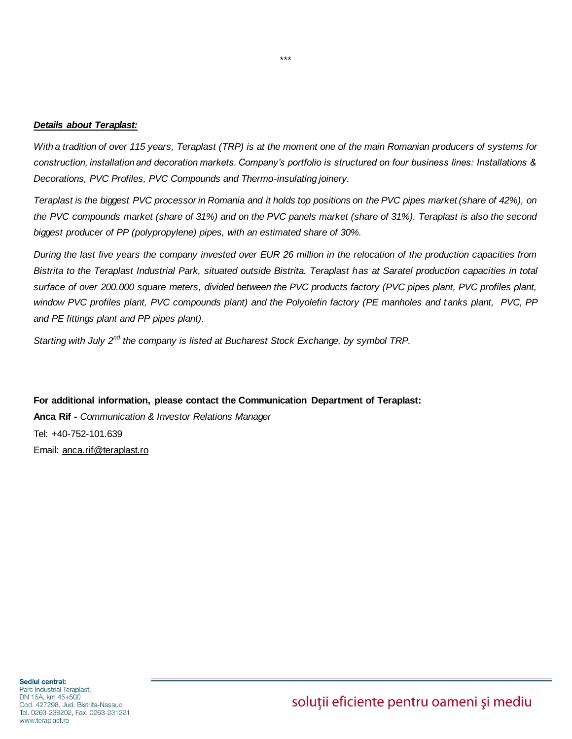#### *Details about Teraplast:*

*With a tradition of over 115 years, Teraplast (TRP) is at the moment one of the main Romanian producers of systems for construction, installation and decoration markets. Company's portfolio is structured on four business lines: Installations & Decorations, PVC Profiles, PVC Compounds and Thermo-insulating joinery.* 

*Teraplast is the biggest PVC processor in Romania and it holds top positions on the PVC pipes market (share of 42%), on the PVC compounds market (share of 31%) and on the PVC panels market (share of 31%). Teraplast is also the second biggest producer of PP (polypropylene) pipes, with an estimated share of 30%.* 

*During the last five years the company invested over EUR 26 million in the relocation of the production capacities from Bistrita to the Teraplast Industrial Park, situated outside Bistrita. Teraplast has at Saratel production capacities in total*  surface of over 200.000 square meters, divided between the PVC products factory (PVC pipes plant, PVC profiles plant, *window PVC profiles plant, PVC compounds plant) and the Polyolefin factory (PE manholes and tanks plant, PVC, PP and PE fittings plant and PP pipes plant).* 

*Starting with July 2nd the company is listed at Bucharest Stock Exchange, by symbol TRP.* 

**For additional information, please contact the Communication Department of Teraplast: Anca Rif -** *Communication & Investor Relations Manager* Tel: +40-752-101.639 Email: [anca.rif@teraplast.ro](mailto:anca.rif@teraplast.ro)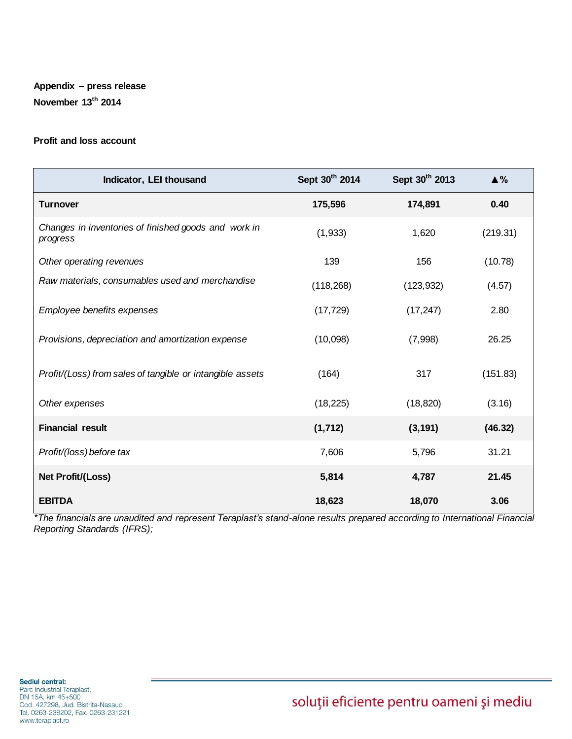# **Appendix – press release November 13th 2014**

## **Profit and loss account**

| Indicator, LEI thousand                                          | Sept 30th 2014 | Sept 30th 2013 | $\triangle$ % |
|------------------------------------------------------------------|----------------|----------------|---------------|
| <b>Turnover</b>                                                  | 175,596        | 174,891        | 0.40          |
| Changes in inventories of finished goods and work in<br>progress | (1,933)        | 1,620          | (219.31)      |
| Other operating revenues                                         | 139            | 156            | (10.78)       |
| Raw materials, consumables used and merchandise                  | (118, 268)     | (123, 932)     | (4.57)        |
| Employee benefits expenses                                       | (17, 729)      | (17, 247)      | 2.80          |
| Provisions, depreciation and amortization expense                | (10,098)       | (7,998)        | 26.25         |
| Profit/(Loss) from sales of tangible or intangible assets        | (164)          | 317            | (151.83)      |
| Other expenses                                                   | (18, 225)      | (18, 820)      | (3.16)        |
| <b>Financial result</b>                                          | (1, 712)       | (3, 191)       | (46.32)       |
| Profit/(loss) before tax                                         | 7,606          | 5,796          | 31.21         |
| <b>Net Profit/(Loss)</b>                                         | 5,814          | 4,787          | 21.45         |
| <b>EBITDA</b>                                                    | 18,623         | 18,070         | 3.06          |

*\*The financials are unaudited and represent Teraplast's stand-alone results prepared according to International Financial Reporting Standards (IFRS);*